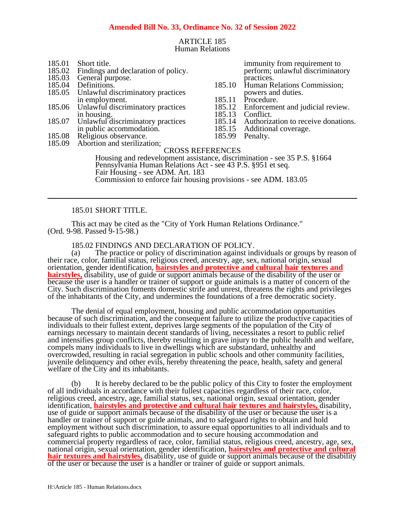### **Amended Bill No. 33, Ordinance No. 32 of Session 2022**

### ARTICLE 185 Human Relations

- 185.01 Short title.<br>185.02 Findings and
- 185.02 Findings and declaration of policy.<br>185.03 General purpose.
- 185.03 General purpose.<br>185.04 Definitions.
- 185.04 Definitions.<br>185.05 Unlawful di
- Unlawful discriminatory practices in employment.
- 185.06 Unlawful discriminatory practices in housing.
- 185.07 Unlawful discriminatory practices in public accommodation.
- 185.08 Religious observance.<br>185.09 Abortion and sterilizat
- Abortion and sterilization;

immunity from requirement to perform; unlawful discriminatory practices.

- 185.10 Human Relations Commission; powers and duties.
- 185.11 Procedure.<br>185.12 Enforceme
	- Enforcement and judicial review.
- 185.13 Conflict.<br>185.14 Authoriza
- 185.14 Authorization to receive donations.<br>185.15 Additional coverage.
	- Additional coverage.
- 185.99 Penalty.

CROSS REFERENCES Housing and redevelopment assistance, discrimination - see 35 P.S. §1664 Pennsylvania Human Relations Act - see 43 P.S. §951 et seq. Fair Housing - see ADM. Art. 183 Commission to enforce fair housing provisions - see ADM. 183.05

#### 185.01 SHORT TITLE.

This act may be cited as the "City of York Human Relations Ordinance." (Ord. 9-98. Passed 9-15-98.)

185.02 FINDINGS AND DECLARATION OF POLICY.

(a) The practice or policy of discrimination against individuals or groups by reason of their race, color, familial status, religious creed, ancestry, age, sex, national origin, sexual orientation, gender identification, **hairstyles and protective and cultural hair textures and hairstyles,** disability, use of guide or support animals because of the disability of the user or because the user is a handler or trainer of support or guide animals is a matter of concern of the City. Such discrimination foments domestic strife and unrest, threatens the rights and privileges of the inhabitants of the City, and undermines the foundations of a free democratic society.

The denial of equal employment, housing and public accommodation opportunities because of such discrimination, and the consequent failure to utilize the productive capacities of individuals to their fullest extent, deprives large segments of the population of the City of earnings necessary to maintain decent standards of living, necessitates a resort to public relief and intensifies group conflicts, thereby resulting in grave injury to the public health and welfare, compels many individuals to live in dwellings which are substandard, unhealthy and overcrowded, resulting in racial segregation in public schools and other community facilities, juvenile delinquency and other evils, hereby threatening the peace, health, safety and general welfare of the City and its inhabitants.

(b) It is hereby declared to be the public policy of this City to foster the employment of all individuals in accordance with their fullest capacities regardless of their race, color, religious creed, ancestry, age, familial status, sex, national origin, sexual orientation, gender identification, **hairstyles and protective and cultural hair textures and hairstyles,** disability, use of guide or support animals because of the disability of the user or because the user is a handler or trainer of support or guide animals, and to safeguard rights to obtain and hold employment without such discrimination, to assure equal opportunities to all individuals and to safeguard rights to public accommodation and to secure housing accommodation and commercial property regardless of race, color, familial status, religious creed, ancestry, age, sex, national origin, sexual orientation, gender identification, **hairstyles and protective and cultural hair textures and hairstyles,** disability, use of guide or support animals because of the disability of the user or because the user is a handler or trainer of guide or support animals.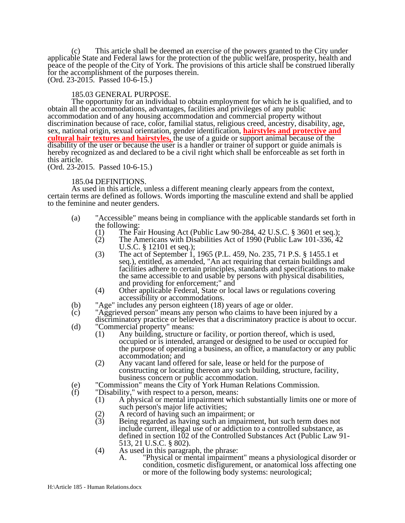(c) This article shall be deemed an exercise of the powers granted to the City under applicable State and Federal laws for the protection of the public welfare, prosperity, health and peace of the people of the City of York. The provisions of this article shall be construed liberally for the accomplishment of the purposes therein. (Ord. 23-2015. Passed 10-6-15.)

#### 185.03 GENERAL PURPOSE.

The opportunity for an individual to obtain employment for which he is qualified, and to obtain all the accommodations, advantages, facilities and privileges of any public accommodation and of any housing accommodation and commercial property without discrimination because of race, color, familial status, religious creed, ancestry, disability, age, sex, national origin, sexual orientation, gender identification, **hairstyles and protective and cultural hair textures and hairstyles,** the use of a guide or support animal because of the disability of the user or because the user is a handler or trainer of support or guide animals is hereby recognized as and declared to be a civil right which shall be enforceable as set forth in this article.

(Ord. 23-2015. Passed 10-6-15.)

#### 185.04 DEFINITIONS.

As used in this article, unless a different meaning clearly appears from the context, certain terms are defined as follows. Words importing the masculine extend and shall be applied to the feminine and neuter genders.

- (a) "Accessible" means being in compliance with the applicable standards set forth in
	- the following:<br>(1) The Fa (1) The Fair Housing Act (Public Law 90-284, 42 U.S.C. § 3601 et seq.);<br>(2) The Americans with Disabilities Act of 1990 (Public Law 101-336, 42
	- The Americans with Disabilities Act of 1990 (Public Law 101-336, 42) U.S.C. § 12101 et seq.);
	- (3) The act of September 1, 1965 (P.L. 459, No. 235, 71 P.S. § 1455.1 et seq.), entitled, as amended, "An act requiring that certain buildings and facilities adhere to certain principles, standards and specifications to make the same accessible to and usable by persons with physical disabilities, and providing for enforcement;" and
	- (4) Other applicable Federal, State or local laws or regulations covering accessibility or accommodations.
- (b) "Age" includes any person eighteen (18) years of age or older.<br>(c) "Aggrieved person" means any person who claims to have bee
- (c) "Aggrieved person" means any person who claims to have been injured by a discriminatory practice or believes that a discriminatory practice is about to occur.
- (d) "Commercial property" means:
	- (1) Any building, structure or facility, or portion thereof, which is used, occupied or is intended, arranged or designed to be used or occupied for the purpose of operating a business, an office, a manufactory or any public accommodation; and
	- (2) Any vacant land offered for sale, lease or held for the purpose of constructing or locating thereon any such building, structure, facility, business concern or public accommodation.
- (e) "Commission" means the City of York Human Relations Commission.
- "Disability," with respect to a person, means:
	- (1) A physical or mental impairment which substantially limits one or more of such person's major life activities;
	- (2) A record of having such an impairment; or
	- Being regarded as having such an impairment, but such term does not include current, illegal use of or addiction to a controlled substance, as defined in section 102 of the Controlled Substances Act (Public Law 91- 513, 21 U.S.C. § 802).
	- (4) As used in this paragraph, the phrase:
		- A. "Physical or mental impairment" means a physiological disorder or condition, cosmetic disfigurement, or anatomical loss affecting one or more of the following body systems: neurological;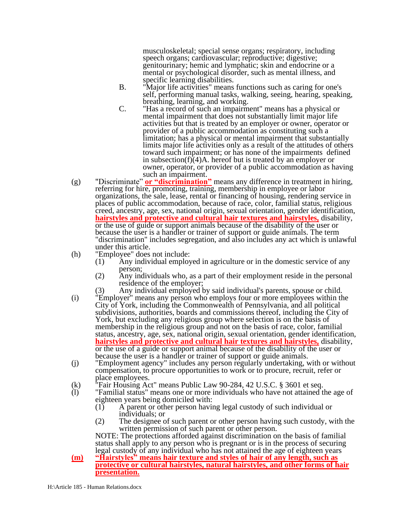musculoskeletal; special sense organs; respiratory, including speech organs; cardiovascular; reproductive; digestive; genitourinary; hemic and lymphatic; skin and endocrine or a mental or psychological disorder, such as mental illness, and specific learning disabilities.

- B. "Major life activities" means functions such as caring for one's self, performing manual tasks, walking, seeing, hearing, speaking, breathing, learning, and working.
- C. "Has a record of such an impairment" means has a physical or mental impairment that does not substantially limit major life activities but that is treated by an employer or owner, operator or provider of a public accommodation as constituting such a limitation; has a physical or mental impairment that substantially limits major life activities only as a result of the attitudes of others toward such impairment; or has none of the impairments defined in subsection(f) $(4)$ A. hereof but is treated by an employer or owner, operator, or provider of a public accommodation as having such an impairment.
- (g) "Discriminate" **or "discrimination"** means any difference in treatment in hiring, referring for hire, promoting, training, membership in employee or labor organizations, the sale, lease, rental or financing of housing, rendering service in places of public accommodation, because of race, color, familial status, religious creed, ancestry, age, sex, national origin, sexual orientation, gender identification, **hairstyles and protective and cultural hair textures and hairstyles,** disability, or the use of guide or support animals because of the disability of the user or because the user is a handler or trainer of support or guide animals. The term "discrimination" includes segregation, and also includes any act which is unlawful under this article.
- (h) "Employee" does not include:
	- $(1)$  Any individual employed in agriculture or in the domestic service of any person;
	- (2) Any individuals who, as a part of their employment reside in the personal residence of the employer;
		- Any individual employed by said individual's parents, spouse or child.
- (i) "Employer" means any person who employs four or more employees within the City of York, including the Commonwealth of Pennsylvania, and all political subdivisions, authorities, boards and commissions thereof, including the City of York, but excluding any religious group where selection is on the basis of membership in the religious group and not on the basis of race, color, familial status, ancestry, age, sex, national origin, sexual orientation, gender identification, **hairstyles and protective and cultural hair textures and hairstyles,** disability, or the use of a guide or support animal because of the disability of the user or because the user is a handler or trainer of support or guide animals.
- (j) "Employment agency" includes any person regularly undertaking, with or without compensation, to procure opportunities to work or to procure, recruit, refer or place employees.
- (k)  $\hat{r}$   $\hat{r}$  Fair Housing Act" means Public Law 90-284, 42 U.S.C. § 3601 et seq.<br>(1) Tamilial status" means one or more individuals who have not attained t
- "Familial status" means one or more individuals who have not attained the age of eighteen years being domiciled with:<br>(1) A parent or other person havin
	- (1) A parent or other person having legal custody of such individual or individuals; or
	- (2) The designee of such parent or other person having such custody, with the written permission of such parent or other person.

NOTE: The protections afforded against discrimination on the basis of familial status shall apply to any person who is pregnant or is in the process of securing legal custody of any individual who has not attained the age of eighteen years

**(m) "Hairstyles" means hair texture and styles of hair of any length, such as protective or cultural hairstyles, natural hairstyles, and other forms of hair presentation.**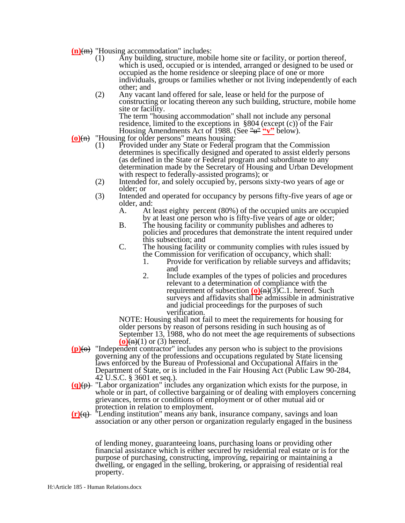- (n)(<del>m)</del> "Housing accommodation" includes:<br>(1) Any building, structure, mobi
	- Any building, structure, mobile home site or facility, or portion thereof, which is used, occupied or is intended, arranged or designed to be used or occupied as the home residence or sleeping place of one or more individuals, groups or families whether or not living independently of each other; and
	- (2) Any vacant land offered for sale, lease or held for the purpose of constructing or locating thereon any such building, structure, mobile home site or facility.

The term "housing accommodation" shall not include any personal residence, limited to the exceptions in  $\S 804$  (except (c)) of the Fair Housing Amendments Act of 1988. (See "u" "v" below).

- **(o)**(n) "Housing for older persons" means housing:
	- (1) Provided under any State or Federal program that the Commission determines is specifically designed and operated to assist elderly persons (as defined in the State or Federal program and subordinate to any determination made by the Secretary of Housing and Urban Development with respect to federally-assisted programs); or
	- (2) Intended for, and solely occupied by, persons sixty-two years of age or older; or
	- (3) Intended and operated for occupancy by persons fifty-five years of age or older, and:<br>A. At
		- At least eighty percent (80%) of the occupied units are occupied by at least one person who is fifty-five years of age or older;
		- B. The housing facility or community publishes and adheres to policies and procedures that demonstrate the intent required under this subsection; and
		- C. The housing facility or community complies with rules issued by the Commission for verification of occupancy, which shall:
			- 1. Provide for verification by reliable surveys and affidavits; and
			- 2. Include examples of the types of policies and procedures relevant to a determination of compliance with the requirement of subsection  $(0)(n)(3)C.1$ . hereof. Such surveys and affidavits shall be admissible in administrative and judicial proceedings for the purposes of such verification.

NOTE: Housing shall not fail to meet the requirements for housing for older persons by reason of persons residing in such housing as of September 13, 1988, who do not meet the age requirements of subsections  $\overline{\textbf{(o)}\textbf{(h)}}(1)$  or (3) hereof.

- **(p)**(o) "Independent contractor" includes any person who is subject to the provisions governing any of the professions and occupations regulated by State licensing laws enforced by the Bureau of Professional and Occupational Affairs in the Department of State, or is included in the Fair Housing Act (Public Law 90-284, 42 U.S.C. § 3601 et seq.).
- **(q)**(p) "Labor organization" includes any organization which exists for the purpose, in whole or in part, of collective bargaining or of dealing with employers concerning grievances, terms or conditions of employment or of other mutual aid or protection in relation to employment.
- **(r)**(q) "Lending institution" means any bank, insurance company, savings and loan association or any other person or organization regularly engaged in the business

of lending money, guaranteeing loans, purchasing loans or providing other financial assistance which is either secured by residential real estate or is for the purpose of purchasing, constructing, improving, repairing or maintaining a dwelling, or engaged in the selling, brokering, or appraising of residential real property.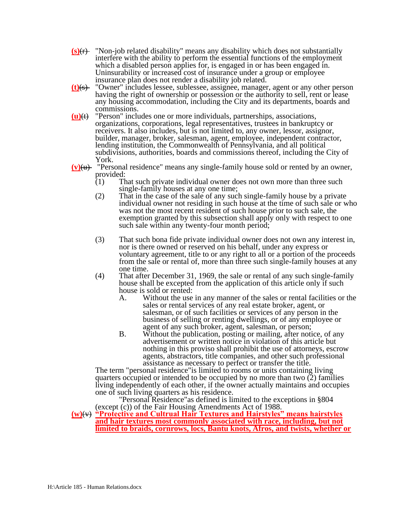- **(s)**(r) "Non-job related disability" means any disability which does not substantially interfere with the ability to perform the essential functions of the employment which a disabled person applies for, is engaged in or has been engaged in. Uninsurability or increased cost of insurance under a group or employee insurance plan does not render a disability job related.
- **(t)**(s) "Owner" includes lessee, sublessee, assignee, manager, agent or any other person having the right of ownership or possession or the authority to sell, rent or lease any housing accommodation, including the City and its departments, boards and commissions.
- **(u)**(t) "Person" includes one or more individuals, partnerships, associations, organizations, corporations, legal representatives, trustees in bankruptcy or receivers. It also includes, but is not limited to, any owner, lessor, assignor, builder, manager, broker, salesman, agent, employee, independent contractor, lending institution, the Commonwealth of Pennsylvania, and all political subdivisions, authorities, boards and commissions thereof, including the City of York.
- **(v)**(u) "Personal residence" means any single-family house sold or rented by an owner, provided:<br>(1) Th
	- That such private individual owner does not own more than three such single-family houses at any one time;
	- (2) That in the case of the sale of any such single-family house by a private individual owner not residing in such house at the time of such sale or who was not the most recent resident of such house prior to such sale, the exemption granted by this subsection shall apply only with respect to one such sale within any twenty-four month period;
	- (3) That such bona fide private individual owner does not own any interest in, nor is there owned or reserved on his behalf, under any express or voluntary agreement, title to or any right to all or a portion of the proceeds from the sale or rental of, more than three such single-family houses at any one time.
	- (4) That after December 31, 1969, the sale or rental of any such single-family house shall be excepted from the application of this article only if such house is sold or rented:<br>A. Without the use
		- Without the use in any manner of the sales or rental facilities or the sales or rental services of any real estate broker, agent, or salesman, or of such facilities or services of any person in the business of selling or renting dwellings, or of any employee or agent of any such broker, agent, salesman, or person;
		- B. Without the publication, posting or mailing, after notice, of any advertisement or written notice in violation of this article but nothing in this proviso shall prohibit the use of attorneys, escrow agents, abstractors, title companies, and other such professional assistance as necessary to perfect or transfer the title.

The term "personal residence"is limited to rooms or units containing living quarters occupied or intended to be occupied by no more than two (2) families living independently of each other, if the owner actually maintains and occupies one of such living quarters as his residence.

"Personal Residence"as defined is limited to the exceptions in §804 (except (c)) of the Fair Housing Amendments Act of 1988.

#### **(w)**(v) **"Protective and Cultrual Hair Textures and Hairstyles" means hairstyles and hair textures most commonly associated with race, including, but not limited to braids, cornrows, locs, Bantu knots, Afros, and twists, whether or**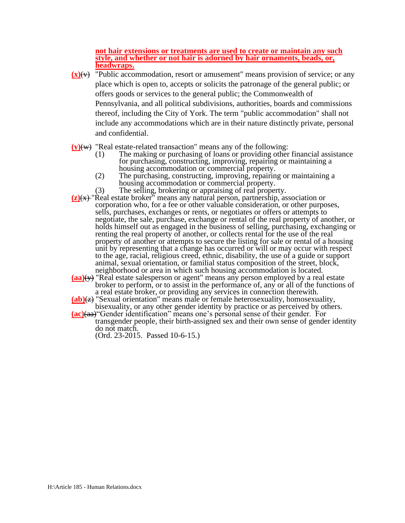#### **not hair extensions or treatments are used to create or maintain any such style, and whether or not hair is adorned by hair ornaments, beads, or, headwraps.**

- $(x)(y)$  "Public accommodation, resort or amusement" means provision of service; or any place which is open to, accepts or solicits the patronage of the general public; or offers goods or services to the general public; the Commonwealth of Pennsylvania, and all political subdivisions, authorities, boards and commissions thereof, including the City of York. The term "public accommodation" shall not include any accommodations which are in their nature distinctly private, personal and confidential.
- **(y)**(w) "Real estate-related transaction" means any of the following:
	- (1) The making or purchasing of loans or providing other financial assistance for purchasing, constructing, improving, repairing or maintaining a housing accommodation or commercial property.
	- (2) The purchasing, constructing, improving, repairing or maintaining a housing accommodation or commercial property.
	- (3) The selling, brokering or appraising of real property.
- **(z)**(x) "Real estate broker" means any natural person, partnership, association or corporation who, for a fee or other valuable consideration, or other purposes, sells, purchases, exchanges or rents, or negotiates or offers or attempts to negotiate, the sale, purchase, exchange or rental of the real property of another, or holds himself out as engaged in the business of selling, purchasing, exchanging or renting the real property of another, or collects rental for the use of the real property of another or attempts to secure the listing for sale or rental of a housing unit by representing that a change has occurred or will or may occur with respect to the age, racial, religious creed, ethnic, disability, the use of a guide or support animal, sexual orientation, or familial status composition of the street, block, neighborhood or area in which such housing accommodation is located.
- **(aa)**(y) "Real estate salesperson or agent" means any person employed by a real estate broker to perform, or to assist in the performance of, any or all of the functions of a real estate broker, or providing any services in connection therewith.
- **(ab)**(z) "Sexual orientation" means male or female heterosexuality, homosexuality, bisexuality, or any other gender identity by practice or as perceived by others.
- **(ac)**(aa)"Gender identification" means one's personal sense of their gender. For transgender people, their birth-assigned sex and their own sense of gender identity do not match.

(Ord. 23-2015. Passed 10-6-15.)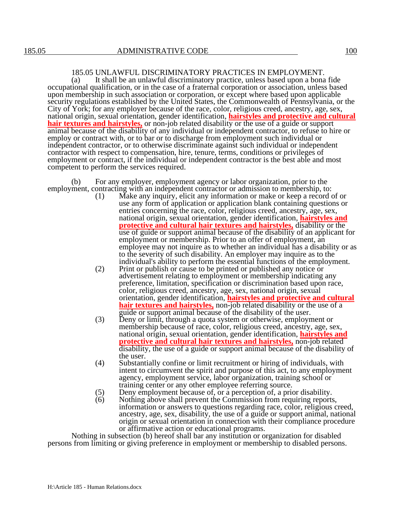### 185.05 UNLAWFUL DISCRIMINATORY PRACTICES IN EMPLOYMENT.

(a) It shall be an unlawful discriminatory practice, unless based upon a bona fide occupational qualification, or in the case of a fraternal corporation or association, unless based upon membership in such association or corporation, or except where based upon applicable security regulations established by the United States, the Commonwealth of Pennsylvania, or the City of York; for any employer because of the race, color, religious creed, ancestry, age, sex, national origin, sexual orientation, gender identification, **hairstyles and protective and cultural hair textures and hairstyles,** or non-job related disability or the use of a guide or support animal because of the disability of any individual or independent contractor, to refuse to hire or employ or contract with, or to bar or to discharge from employment such individual or independent contractor, or to otherwise discriminate against such individual or independent contractor with respect to compensation, hire, tenure, terms, conditions or privileges of employment or contract, if the individual or independent contractor is the best able and most competent to perform the services required.

(b) For any employer, employment agency or labor organization, prior to the employment, contracting with an independent contractor or admission to membership, to:

- (1) Make any inquiry, elicit any information or make or keep a record of or use any form of application or application blank containing questions or entries concerning the race, color, religious creed, ancestry, age, sex, national origin, sexual orientation, gender identification, **hairstyles and protective and cultural hair textures and hairstyles,** disability or the use of guide or support animal because of the disability of an applicant for employment or membership. Prior to an offer of employment, an employee may not inquire as to whether an individual has a disability or as to the severity of such disability. An employer may inquire as to the individual's ability to perform the essential functions of the employment.
- (2) Print or publish or cause to be printed or published any notice or advertisement relating to employment or membership indicating any preference, limitation, specification or discrimination based upon race, color, religious creed, ancestry, age, sex, national origin, sexual orientation, gender identification, **hairstyles and protective and cultural hair textures and hairstyles,** non-job related disability or the use of a guide or support animal because of the disability of the user.
- (3) Deny or limit, through a quota system or otherwise, employment or membership because of race, color, religious creed, ancestry, age, sex, national origin, sexual orientation, gender identification, **hairstyles and protective and cultural hair textures and hairstyles,** non-job related disability, the use of a guide or support animal because of the disability of the user.
- (4) Substantially confine or limit recruitment or hiring of individuals, with intent to circumvent the spirit and purpose of this act, to any employment agency, employment service, labor organization, training school or training center or any other employee referring source.
- (5) Deny employment because of, or a perception of, a prior disability.<br>(6) Nothing above shall prevent the Commission from requiring reports
- Nothing above shall prevent the Commission from requiring reports, information or answers to questions regarding race, color, religious creed, ancestry, age, sex, disability, the use of a guide or support animal, national origin or sexual orientation in connection with their compliance procedure or affirmative action or educational programs.

Nothing in subsection (b) hereof shall bar any institution or organization for disabled persons from limiting or giving preference in employment or membership to disabled persons.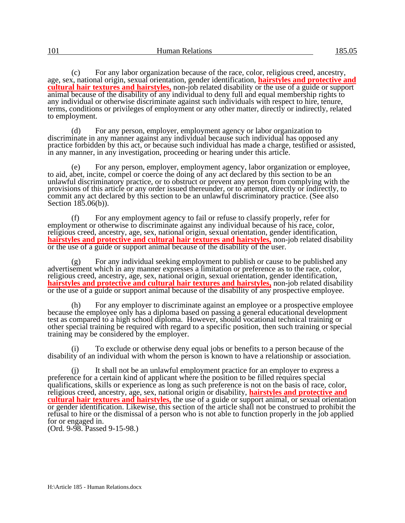(c) For any labor organization because of the race, color, religious creed, ancestry, age, sex, national origin, sexual orientation, gender identification, **hairstyles and protective and cultural hair textures and hairstyles,** non-job related disability or the use of a guide or support animal because of the disability of any individual to deny full and equal membership rights to any individual or otherwise discriminate against such individuals with respect to hire, tenure, terms, conditions or privileges of employment or any other matter, directly or indirectly, related to employment.

(d) For any person, employer, employment agency or labor organization to discriminate in any manner against any individual because such individual has opposed any practice forbidden by this act, or because such individual has made a charge, testified or assisted, in any manner, in any investigation, proceeding or hearing under this article.

(e) For any person, employer, employment agency, labor organization or employee, to aid, abet, incite, compel or coerce the doing of any act declared by this section to be an unlawful discriminatory practice, or to obstruct or prevent any person from complying with the provisions of this article or any order issued thereunder, or to attempt, directly or indirectly, to commit any act declared by this section to be an unlawful discriminatory practice. (See also Section 185.06(b)).

(f) For any employment agency to fail or refuse to classify properly, refer for employment or otherwise to discriminate against any individual because of his race, color, religious creed, ancestry, age, sex, national origin, sexual orientation, gender identification, **hairstyles and protective and cultural hair textures and hairstyles,** non-job related disability or the use of a guide or support animal because of the disability of the user.

(g) For any individual seeking employment to publish or cause to be published any advertisement which in any manner expresses a limitation or preference as to the race, color, religious creed, ancestry, age, sex, national origin, sexual orientation, gender identification, **hairstyles and protective and cultural hair textures and hairstyles,** non-job related disability or the use of a guide or support animal because of the disability of any prospective employee.

(h) For any employer to discriminate against an employee or a prospective employee because the employee only has a diploma based on passing a general educational development test as compared to a high school diploma. However, should vocational technical training or other special training be required with regard to a specific position, then such training or special training may be considered by the employer.

(i) To exclude or otherwise deny equal jobs or benefits to a person because of the disability of an individual with whom the person is known to have a relationship or association.

It shall not be an unlawful employment practice for an employer to express a preference for a certain kind of applicant where the position to be filled requires special qualifications, skills or experience as long as such preference is not on the basis of race, color, religious creed, ancestry, age, sex, national origin or disability, **hairstyles and protective and cultural hair textures and hairstyles,** the use of a guide or support animal, or sexual orientation or gender identification. Likewise, this section of the article shall not be construed to prohibit the refusal to hire or the dismissal of a person who is not able to function properly in the job applied for or engaged in.

(Ord. 9-98. Passed 9-15-98.)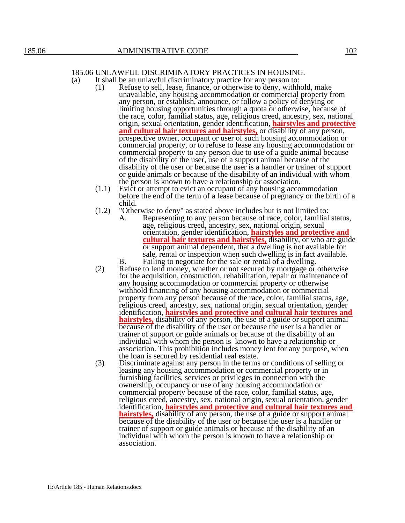# 185.06 UNLAWFUL DISCRIMINATORY PRACTICES IN HOUSING.

(a) It shall be an unlawful discriminatory practice for any person to:

- (1) Refuse to sell, lease, finance, or otherwise to deny, withhold, make unavailable, any housing accommodation or commercial property from any person, or establish, announce, or follow a policy of denying or limiting housing opportunities through a quota or otherwise, because of the race, color, familial status, age, religious creed, ancestry, sex, national origin, sexual orientation, gender identification, **hairstyles and protective and cultural hair textures and hairstyles,** or disability of any person, prospective owner, occupant or user of such housing accommodation or commercial property, or to refuse to lease any housing accommodation or commercial property to any person due to use of a guide animal because of the disability of the user, use of a support animal because of the disability of the user or because the user is a handler or trainer of support or guide animals or because of the disability of an individual with whom the person is known to have a relationship or association.
- (1.1) Evict or attempt to evict an occupant of any housing accommodation before the end of the term of a lease because of pregnancy or the birth of a child.
- (1.2) "Otherwise to deny" as stated above includes but is not limited to:
	- A. Representing to any person because of race, color, familial status, age, religious creed, ancestry, sex, national origin, sexual orientation, gender identification, **hairstyles and protective and cultural hair textures and hairstyles,** disability, or who are guide or support animal dependent, that a dwelling is not available for sale, rental or inspection when such dwelling is in fact available. B. Failing to negotiate for the sale or rental of a dwelling.
- (2) Refuse to lend money, whether or not secured by mortgage or otherwise for the acquisition, construction, rehabilitation, repair or maintenance of any housing accommodation or commercial property or otherwise withhold financing of any housing accommodation or commercial property from any person because of the race, color, familial status, age, religious creed, ancestry, sex, national origin, sexual orientation, gender identification, **hairstyles and protective and cultural hair textures and hairstyles,** disability of any person, the use of a guide or support animal because of the disability of the user or because the user is a handler or trainer of support or guide animals or because of the disability of an individual with whom the person is known to have a relationship or association. This prohibition includes money lent for any purpose, when the loan is secured by residential real estate.
- (3) Discriminate against any person in the terms or conditions of selling or leasing any housing accommodation or commercial property or in furnishing facilities, services or privileges in connection with the ownership, occupancy or use of any housing accommodation or commercial property because of the race, color, familial status, age, religious creed, ancestry, sex, national origin, sexual orientation, gender identification, **hairstyles and protective and cultural hair textures and hairstyles,** disability of any person, the use of a guide or support animal because of the disability of the user or because the user is a handler or trainer of support or guide animals or because of the disability of an individual with whom the person is known to have a relationship or association.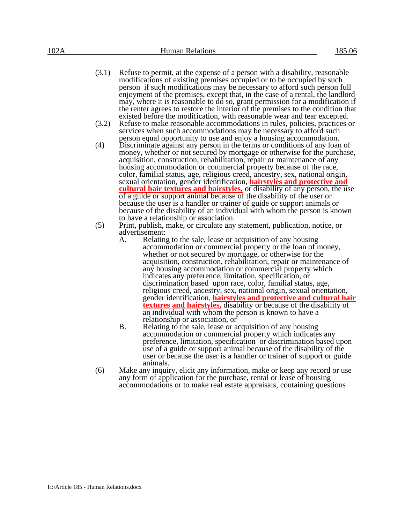- (3.1) Refuse to permit, at the expense of a person with a disability, reasonable modifications of existing premises occupied or to be occupied by such person if such modifications may be necessary to afford such person full enjoyment of the premises, except that, in the case of a rental, the landlord may, where it is reasonable to do so, grant permission for a modification if the renter agrees to restore the interior of the premises to the condition that existed before the modification, with reasonable wear and tear excepted.
- (3.2) Refuse to make reasonable accommodations in rules, policies, practices or services when such accommodations may be necessary to afford such person equal opportunity to use and enjoy a housing accommodation.
- (4) Discriminate against any person in the terms or conditions of any loan of money, whether or not secured by mortgage or otherwise for the purchase, acquisition, construction, rehabilitation, repair or maintenance of any housing accommodation or commercial property because of the race, color, familial status, age, religious creed, ancestry, sex, national origin, sexual orientation, gender identification, **hairstyles and protective and cultural hair textures and hairstyles,** or disability of any person, the use of a guide or support animal because of the disability of the user or because the user is a handler or trainer of guide or support animals or because of the disability of an individual with whom the person is known to have a relationship or association.
- (5) Print, publish, make, or circulate any statement, publication, notice, or advertisement:
	- A. Relating to the sale, lease or acquisition of any housing accommodation or commercial property or the loan of money, whether or not secured by mortgage, or otherwise for the acquisition, construction, rehabilitation, repair or maintenance of any housing accommodation or commercial property which indicates any preference, limitation, specification, or discrimination based upon race, color, familial status, age, religious creed, ancestry, sex, national origin, sexual orientation, gender identification, **hairstyles and protective and cultural hair textures and hairstyles,** disability or because of the disability of an individual with whom the person is known to have a relationship or association, or
	- B. Relating to the sale, lease or acquisition of any housing accommodation or commercial property which indicates any preference, limitation, specification or discrimination based upon use of a guide or support animal because of the disability of the user or because the user is a handler or trainer of support or guide animals.
- (6) Make any inquiry, elicit any information, make or keep any record or use any form of application for the purchase, rental or lease of housing accommodations or to make real estate appraisals, containing questions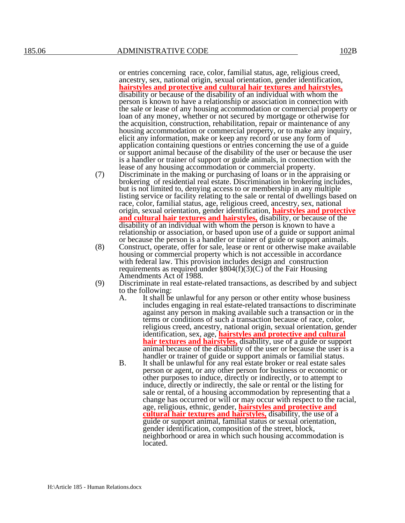or entries concerning race, color, familial status, age, religious creed, ancestry, sex, national origin, sexual orientation, gender identification, **hairstyles and protective and cultural hair textures and hairstyles,** disability or because of the disability of an individual with whom the person is known to have a relationship or association in connection with the sale or lease of any housing accommodation or commercial property or loan of any money, whether or not secured by mortgage or otherwise for the acquisition, construction, rehabilitation, repair or maintenance of any housing accommodation or commercial property, or to make any inquiry, elicit any information, make or keep any record or use any form of application containing questions or entries concerning the use of a guide or support animal because of the disability of the user or because the user is a handler or trainer of support or guide animals, in connection with the lease of any housing accommodation or commercial property.

- (7) Discriminate in the making or purchasing of loans or in the appraising or brokering of residential real estate. Discrimination in brokering includes, but is not limited to, denying access to or membership in any multiple listing service or facility relating to the sale or rental of dwellings based on race, color, familial status, age, religious creed, ancestry, sex, national origin, sexual orientation, gender identification, **hairstyles and protective and cultural hair textures and hairstyles,** disability, or because of the disability of an individual with whom the person is known to have a relationship or association, or based upon use of a guide or support animal or because the person is a handler or trainer of guide or support animals.
- (8) Construct, operate, offer for sale, lease or rent or otherwise make available housing or commercial property which is not accessible in accordance with federal law. This provision includes design and construction requirements as required under  $\S 804(f)(3)(C)$  of the Fair Housing Amendments Act of 1988.
- (9) Discriminate in real estate-related transactions, as described by and subject to the following:<br>A. It shall be
	- It shall be unlawful for any person or other entity whose business includes engaging in real estate-related transactions to discriminate against any person in making available such a transaction or in the terms or conditions of such a transaction because of race, color, religious creed, ancestry, national origin, sexual orientation, gender identification, sex, age, **hairstyles and protective and cultural hair textures and hairstyles,** disability, use of a guide or support animal because of the disability of the user or because the user is a handler or trainer of guide or support animals or familial status.
	- B. It shall be unlawful for any real estate broker or real estate sales person or agent, or any other person for business or economic or other purposes to induce, directly or indirectly, or to attempt to induce, directly or indirectly, the sale or rental or the listing for sale or rental, of a housing accommodation by representing that a change has occurred or will or may occur with respect to the racial, age, religious, ethnic, gender, **hairstyles and protective and cultural hair textures and hairstyles,** disability, the use of a guide or support animal, familial status or sexual orientation, gender identification, composition of the street, block, neighborhood or area in which such housing accommodation is located.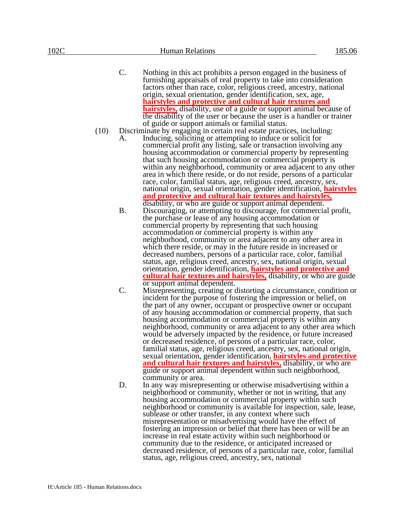- C. Nothing in this act prohibits a person engaged in the business of furnishing appraisals of real property to take into consideration factors other than race, color, religious creed, ancestry, national origin, sexual orientation, gender identification, sex, age, **hairstyles and protective and cultural hair textures and hairstyles,** disability, use of a guide or support animal because of the disability of the user or because the user is a handler or trainer of guide or support animals or familial status.
- (10) Discriminate by engaging in certain real estate practices, including:
	- A. Inducing, soliciting or attempting to induce or solicit for commercial profit any listing, sale or transaction involving any housing accommodation or commercial property by representing that such housing accommodation or commercial property is within any neighborhood, community or area adjacent to any other area in which there reside, or do not reside, persons of a particular race, color, familial status, age, religious creed, ancestry, sex, national origin, sexual orientation, gender identification, **hairstyles and protective and cultural hair textures and hairstyles,** disability, or who are guide or support animal dependent.
	- B. Discouraging, or attempting to discourage, for commercial profit, the purchase or lease of any housing accommodation or commercial property by representing that such housing accommodation or commercial property is within any neighborhood, community or area adjacent to any other area in which there reside, or may in the future reside in increased or decreased numbers, persons of a particular race, color, familial status, age, religious creed, ancestry, sex, national origin, sexual orientation, gender identification, **hairstyles and protective and cultural hair textures and hairstyles,** disability, or who are guide or support animal dependent.
	- C. Misrepresenting, creating or distorting a circumstance, condition or incident for the purpose of fostering the impression or belief, on the part of any owner, occupant or prospective owner or occupant of any housing accommodation or commercial property, that such housing accommodation or commercial property is within any neighborhood, community or area adjacent to any other area which would be adversely impacted by the residence, or future increased or decreased residence, of persons of a particular race, color, familial status, age, religious creed, ancestry, sex, national origin, sexual orientation, gender identification, **hairstyles and protective and cultural hair textures and hairstyles,** disability, or who are guide or support animal dependent within such neighborhood, community or area.
	- D. In any way misrepresenting or otherwise misadvertising within a neighborhood or community, whether or not in writing, that any housing accommodation or commercial property within such neighborhood or community is available for inspection, sale, lease, sublease or other transfer, in any context where such misrepresentation or misadvertising would have the effect of fostering an impression or belief that there has been or will be an increase in real estate activity within such neighborhood or community due to the residence, or anticipated increased or decreased residence, of persons of a particular race, color, familial status, age, religious creed, ancestry, sex, national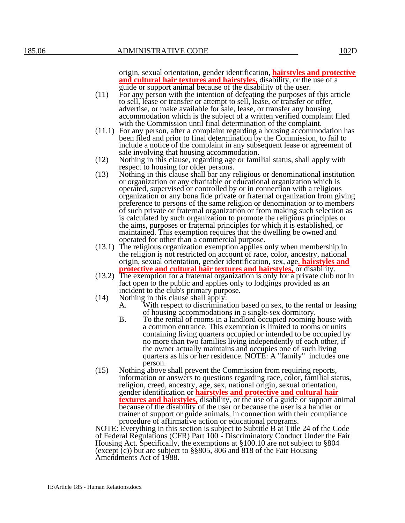origin, sexual orientation, gender identification, **hairstyles and protective and cultural hair textures and hairstyles,** disability, or the use of a guide or support animal because of the disability of the user.

- (11) For any person with the intention of defeating the purposes of this article to sell, lease or transfer or attempt to sell, lease, or transfer or offer, advertise, or make available for sale, lease, or transfer any housing accommodation which is the subject of a written verified complaint filed with the Commission until final determination of the complaint.
- (11.1) For any person, after a complaint regarding a housing accommodation has been filed and prior to final determination by the Commission, to fail to include a notice of the complaint in any subsequent lease or agreement of sale involving that housing accommodation.
- (12) Nothing in this clause, regarding age or familial status, shall apply with respect to housing for older persons.
- (13) Nothing in this clause shall bar any religious or denominational institution or organization or any charitable or educational organization which is operated, supervised or controlled by or in connection with a religious organization or any bona fide private or fraternal organization from giving preference to persons of the same religion or denomination or to members of such private or fraternal organization or from making such selection as is calculated by such organization to promote the religious principles or the aims, purposes or fraternal principles for which it is established, or maintained. This exemption requires that the dwelling be owned and operated for other than a commercial purpose.
- (13.1) The religious organization exemption applies only when membership in the religion is not restricted on account of race, color, ancestry, national origin, sexual orientation, gender identification, sex, age, **hairstyles and protective and cultural hair textures and hairstyles,** or disability.
- (13.2) The exemption for a fraternal organization is only for a private club not in fact open to the public and applies only to lodgings provided as an incident to the club's primary purpose.
- (14) Nothing in this clause shall apply:
	- A. With respect to discrimination based on sex, to the rental or leasing of housing accommodations in a single-sex dormitory.
	- B. To the rental of rooms in a landlord occupied rooming house with a common entrance. This exemption is limited to rooms or units containing living quarters occupied or intended to be occupied by no more than two families living independently of each other, if the owner actually maintains and occupies one of such living quarters as his or her residence. NOTE: A "family" includes one person.
- (15) Nothing above shall prevent the Commission from requiring reports, information or answers to questions regarding race, color, familial status, religion, creed, ancestry, age, sex, national origin, sexual orientation, gender identification or **hairstyles and protective and cultural hair textures and hairstyles,** disability, or the use of a guide or support animal because of the disability of the user or because the user is a handler or trainer of support or guide animals, in connection with their compliance procedure of affirmative action or educational programs.

NOTE: Everything in this section is subject to Subtitle B at Title 24 of the Code of Federal Regulations (CFR) Part 100 - Discriminatory Conduct Under the Fair Housing Act. Specifically, the exemptions at §100.10 are not subject to §804 (except (c)) but are subject to §§805, 806 and 818 of the Fair Housing Amendments Act of 1988.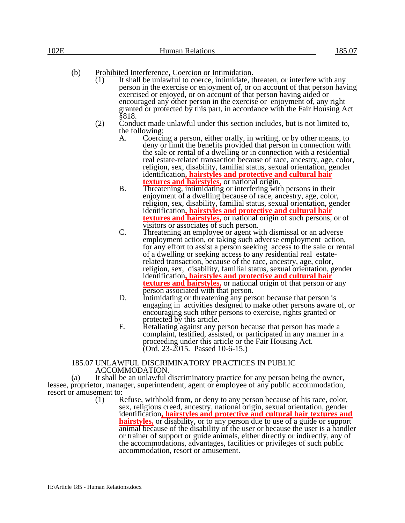| 102E | <b>Human Relations</b> | $\sim$ |
|------|------------------------|--------|
|      |                        |        |

# (b) Prohibited Interference, Coercion or Intimidation.<br>(1) It shall be unlawful to coerce, intimidate, t

- It shall be unlawful to coerce, intimidate, threaten, or interfere with any person in the exercise or enjoyment of, or on account of that person having exercised or enjoyed, or on account of that person having aided or encouraged any other person in the exercise or enjoyment of, any right granted or protected by this part, in accordance with the Fair Housing Act §818.
- $(2)$  Conduct made unlawful under this section includes, but is not limited to, the following:
	- A. Coercing a person, either orally, in writing, or by other means, to deny or limit the benefits provided that person in connection with the sale or rental of a dwelling or in connection with a residential real estate-related transaction because of race, ancestry, age, color, religion, sex, disability, familial status, sexual orientation, gender identification**, hairstyles and protective and cultural hair textures and hairstyles,** or national origin.
	- B. Threatening, intimidating or interfering with persons in their enjoyment of a dwelling because of race, ancestry, age, color, religion, sex, disability, familial status, sexual orientation, gender identification**, hairstyles and protective and cultural hair textures and hairstyles,** or national origin of such persons, or of visitors or associates of such person.
	- C. Threatening an employee or agent with dismissal or an adverse employment action, or taking such adverse employment action, for any effort to assist a person seeking access to the sale or rental of a dwelling or seeking access to any residential real estaterelated transaction, because of the race, ancestry, age, color, religion, sex, disability, familial status, sexual orientation, gender identification**, hairstyles and protective and cultural hair textures and hairstyles,** or national origin of that person or any person associated with that person.
	- D. Intimidating or threatening any person because that person is engaging in activities designed to make other persons aware of, or encouraging such other persons to exercise, rights granted or protected by this article.
	- E. Retaliating against any person because that person has made a complaint, testified, assisted, or participated in any manner in a proceeding under this article or the Fair Housing Act. (Ord. 23-2015. Passed 10-6-15.)

#### 185.07 UNLAWFUL DISCRIMINATORY PRACTICES IN PUBLIC ACCOMMODATION.

(a) It shall be an unlawful discriminatory practice for any person being the owner, lessee, proprietor, manager, superintendent, agent or employee of any public accommodation, resort or amusement to:

(1) Refuse, withhold from, or deny to any person because of his race, color, sex, religious creed, ancestry, national origin, sexual orientation, gender identification**, hairstyles and protective and cultural hair textures and hairstyles,** or disability, or to any person due to use of a guide or support animal because of the disability of the user or because the user is a handler or trainer of support or guide animals, either directly or indirectly, any of the accommodations, advantages, facilities or privileges of such public accommodation, resort or amusement.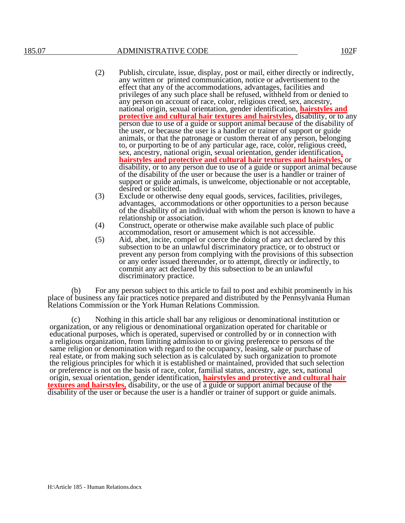- (2) Publish, circulate, issue, display, post or mail, either directly or indirectly, any written or printed communication, notice or advertisement to the effect that any of the accommodations, advantages, facilities and privileges of any such place shall be refused, withheld from or denied to any person on account of race, color, religious creed, sex, ancestry, national origin, sexual orientation, gender identification, **hairstyles and protective and cultural hair textures and hairstyles,** disability, or to any person due to use of a guide or support animal because of the disability of the user, or because the user is a handler or trainer of support or guide animals, or that the patronage or custom thereat of any person, belonging to, or purporting to be of any particular age, race, color, religious creed, sex, ancestry, national origin, sexual orientation, gender identification**, hairstyles and protective and cultural hair textures and hairstyles,** or disability, or to any person due to use of a guide or support animal because of the disability of the user or because the user is a handler or trainer of support or guide animals, is unwelcome, objectionable or not acceptable, desired or solicited.
- (3) Exclude or otherwise deny equal goods, services, facilities, privileges, advantages, accommodations or other opportunities to a person because of the disability of an individual with whom the person is known to have a relationship or association.
- (4) Construct, operate or otherwise make available such place of public accommodation, resort or amusement which is not accessible.
- (5) Aid, abet, incite, compel or coerce the doing of any act declared by this subsection to be an unlawful discriminatory practice, or to obstruct or prevent any person from complying with the provisions of this subsection or any order issued thereunder, or to attempt, directly or indirectly, to commit any act declared by this subsection to be an unlawful discriminatory practice.

For any person subject to this article to fail to post and exhibit prominently in his place of business any fair practices notice prepared and distributed by the Pennsylvania Human Relations Commission or the York Human Relations Commission.

(c) Nothing in this article shall bar any religious or denominational institution or organization, or any religious or denominational organization operated for charitable or educational purposes, which is operated, supervised or controlled by or in connection with a religious organization, from limiting admission to or giving preference to persons of the same religion or denomination with regard to the occupancy, leasing, sale or purchase of real estate, or from making such selection as is calculated by such organization to promote the religious principles for which it is established or maintained, provided that such selection or preference is not on the basis of race, color, familial status, ancestry, age, sex, national origin, sexual orientation, gender identification, **hairstyles and protective and cultural hair textures and hairstyles,** disability, or the use of a guide or support animal because of the disability of the user or because the user is a handler or trainer of support or guide animals.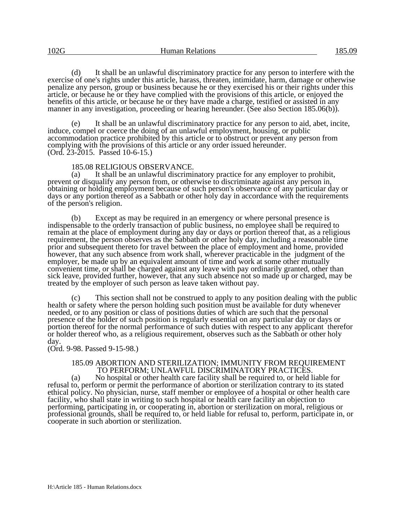(d) It shall be an unlawful discriminatory practice for any person to interfere with the exercise of one's rights under this article, harass, threaten, intimidate, harm, damage or otherwise penalize any person, group or business because he or they exercised his or their rights under this article, or because he or they have complied with the provisions of this article, or enjoyed the benefits of this article, or because he or they have made a charge, testified or assisted in any manner in any investigation, proceeding or hearing hereunder. (See also Section 185.06(b)).

It shall be an unlawful discriminatory practice for any person to aid, abet, incite, induce, compel or coerce the doing of an unlawful employment, housing, or public accommodation practice prohibited by this article or to obstruct or prevent any person from complying with the provisions of this article or any order issued hereunder. (Ord. 23-2015. Passed 10-6-15.)

#### 185.08 RELIGIOUS OBSERVANCE.

(a) It shall be an unlawful discriminatory practice for any employer to prohibit, prevent or disqualify any person from, or otherwise to discriminate against any person in, obtaining or holding employment because of such person's observance of any particular day or days or any portion thereof as a Sabbath or other holy day in accordance with the requirements of the person's religion.

(b) Except as may be required in an emergency or where personal presence is indispensable to the orderly transaction of public business, no employee shall be required to remain at the place of employment during any day or days or portion thereof that, as a religious requirement, the person observes as the Sabbath or other holy day, including a reasonable time prior and subsequent thereto for travel between the place of employment and home, provided however, that any such absence from work shall, wherever practicable in the judgment of the employer, be made up by an equivalent amount of time and work at some other mutually convenient time, or shall be charged against any leave with pay ordinarily granted, other than sick leave, provided further, however, that any such absence not so made up or charged, may be treated by the employer of such person as leave taken without pay.

(c) This section shall not be construed to apply to any position dealing with the public health or safety where the person holding such position must be available for duty whenever needed, or to any position or class of positions duties of which are such that the personal presence of the holder of such position is regularly essential on any particular day or days or portion thereof for the normal performance of such duties with respect to any applicant therefor or holder thereof who, as a religious requirement, observes such as the Sabbath or other holy day.

(Ord. 9-98. Passed 9-15-98.)

#### 185.09 ABORTION AND STERILIZATION; IMMUNITY FROM REQUIREMENT TO PERFORM; UNLAWFUL DISCRIMINATORY PRACTICES.

(a) No hospital or other health care facility shall be required to, or held liable for refusal to, perform or permit the performance of abortion or sterilization contrary to its stated ethical policy. No physician, nurse, staff member or employee of a hospital or other health care facility, who shall state in writing to such hospital or health care facility an objection to performing, participating in, or cooperating in, abortion or sterilization on moral, religious or professional grounds, shall be required to, or held liable for refusal to, perform, participate in, or cooperate in such abortion or sterilization.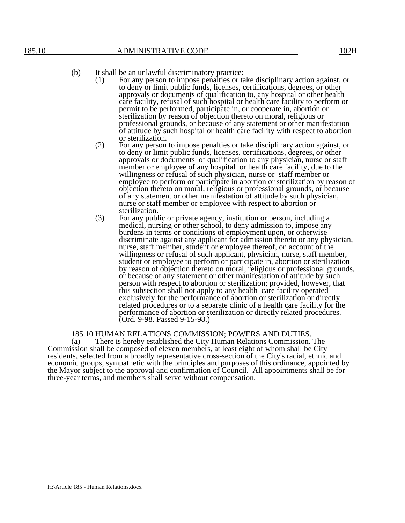- (1) For any person to impose penalties or take disciplinary action against, or to deny or limit public funds, licenses, certifications, degrees, or other approvals or documents of qualification to, any hospital or other health care facility, refusal of such hospital or health care facility to perform or permit to be performed, participate in, or cooperate in, abortion or sterilization by reason of objection thereto on moral, religious or professional grounds, or because of any statement or other manifestation of attitude by such hospital or health care facility with respect to abortion or sterilization.
- (2) For any person to impose penalties or take disciplinary action against, or to deny or limit public funds, licenses, certifications, degrees, or other approvals or documents of qualification to any physician, nurse or staff member or employee of any hospital or health care facility, due to the willingness or refusal of such physician, nurse or staff member or employee to perform or participate in abortion or sterilization by reason of objection thereto on moral, religious or professional grounds, or because of any statement or other manifestation of attitude by such physician, nurse or staff member or employee with respect to abortion or sterilization.
- (3) For any public or private agency, institution or person, including a medical, nursing or other school, to deny admission to, impose any burdens in terms or conditions of employment upon, or otherwise discriminate against any applicant for admission thereto or any physician, nurse, staff member, student or employee thereof, on account of the willingness or refusal of such applicant, physician, nurse, staff member, student or employee to perform or participate in, abortion or sterilization by reason of objection thereto on moral, religious or professional grounds, or because of any statement or other manifestation of attitude by such person with respect to abortion or sterilization; provided, however, that this subsection shall not apply to any health care facility operated exclusively for the performance of abortion or sterilization or directly related procedures or to a separate clinic of a health care facility for the performance of abortion or sterilization or directly related procedures. (Ord. 9-98. Passed 9-15-98.)

# 185.10 HUMAN RELATIONS COMMISSION; POWERS AND DUTIES.<br>(a) There is hereby established the City Human Relations Commission.

There is hereby established the City Human Relations Commission. The Commission shall be composed of eleven members, at least eight of whom shall be City residents, selected from a broadly representative cross-section of the City's racial, ethnic and economic groups, sympathetic with the principles and purposes of this ordinance, appointed by the Mayor subject to the approval and confirmation of Council. All appointments shall be for three-year terms, and members shall serve without compensation.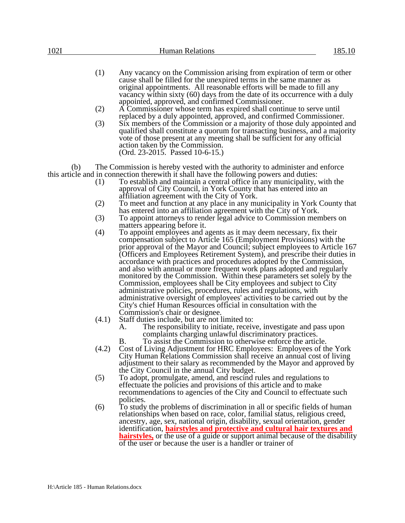| 102I |     | <b>Human Relations</b><br>185.10                                                                                                                                                                                                                                                                                                                          |
|------|-----|-----------------------------------------------------------------------------------------------------------------------------------------------------------------------------------------------------------------------------------------------------------------------------------------------------------------------------------------------------------|
|      | (1) | Any vacancy on the Commission arising from expiration of term or other<br>cause shall be filled for the unexpired terms in the same manner as<br>original appointments. All reasonable efforts will be made to fill any<br>vacancy within sixty (60) days from the date of its occurrence with a duly<br>appointed, approved, and confirmed Commissioner. |
|      | (2) | A Commissioner whose term has expired shall continue to serve until                                                                                                                                                                                                                                                                                       |
|      | (3) | replaced by a duly appointed, approved, and confirmed Commissioner.<br>Six members of the Commission or a majority of those duly appointed and                                                                                                                                                                                                            |

qualified shall constitute a quorum for transacting business, and a majority vote of those present at any meeting shall be sufficient for any official action taken by the Commission. (Ord. 23-2015. Passed 10-6-15.)

(b) The Commission is hereby vested with the authority to administer and enforce this article and in connection therewith it shall have the following powers and duties:

- (1) To establish and maintain a central office in any municipality, with the approval of City Council, in York County that has entered into an affiliation agreement with the City of York.
- (2) To meet and function at any place in any municipality in York County that has entered into an affiliation agreement with the City of York.
- (3) To appoint attorneys to render legal advice to Commission members on matters appearing before it.
- (4) To appoint employees and agents as it may deem necessary, fix their compensation subject to Article 165 (Employment Provisions) with the prior approval of the Mayor and Council; subject employees to Article 167 (Officers and Employees Retirement System), and prescribe their duties in accordance with practices and procedures adopted by the Commission, and also with annual or more frequent work plans adopted and regularly monitored by the Commission. Within these parameters set solely by the Commission, employees shall be City employees and subject to City administrative policies, procedures, rules and regulations, with administrative oversight of employees' activities to be carried out by the City's chief Human Resources official in consultation with the Commission's chair or designee.
- (4.1) Staff duties include, but are not limited to:
	- A. The responsibility to initiate, receive, investigate and pass upon complaints charging unlawful discriminatory practices.
	- B. To assist the Commission to otherwise enforce the article.
- (4.2) Cost of Living Adjustment for HRC Employees: Employees of the York City Human Relations Commission shall receive an annual cost of living adjustment to their salary as recommended by the Mayor and approved by the City Council in the annual City budget.
- (5) To adopt, promulgate, amend, and rescind rules and regulations to effectuate the policies and provisions of this article and to make recommendations to agencies of the City and Council to effectuate such policies.
- (6) To study the problems of discrimination in all or specific fields of human relationships when based on race, color, familial status, religious creed, ancestry, age, sex, national origin, disability, sexual orientation, gender identification, **hairstyles and protective and cultural hair textures and hairstyles,** or the use of a guide or support animal because of the disability of the user or because the user is a handler or trainer of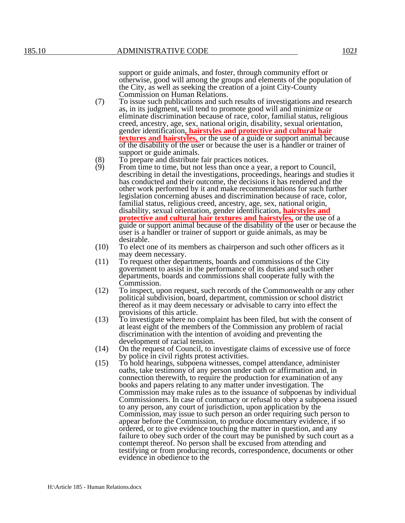support or guide animals, and foster, through community effort or otherwise, good will among the groups and elements of the population of the City, as well as seeking the creation of a joint City-County Commission on Human Relations.

- (7) To issue such publications and such results of investigations and research as, in its judgment, will tend to promote good will and minimize or eliminate discrimination because of race, color, familial status, religious creed, ancestry, age, sex, national origin, disability, sexual orientation, gender identification**, hairstyles and protective and cultural hair textures and hairstyles,** or the use of a guide or support animal because of the disability of the user or because the user is a handler or trainer of support or guide animals.
- (8) To prepare and distribute fair practices notices.<br>(9) From time to time, but not less than once a year
- From time to time, but not less than once a year, a report to Council, describing in detail the investigations, proceedings, hearings and studies it has conducted and their outcome, the decisions it has rendered and the other work performed by it and make recommendations for such further legislation concerning abuses and discrimination because of race, color, familial status, religious creed, ancestry, age, sex, national origin, disability, sexual orientation, gender identification**, hairstyles and protective and cultural hair textures and hairstyles,** or the use of a guide or support animal because of the disability of the user or because the user is a handler or trainer of support or guide animals, as may be desirable.
- (10) To elect one of its members as chairperson and such other officers as it may deem necessary.
- (11) To request other departments, boards and commissions of the City government to assist in the performance of its duties and such other departments, boards and commissions shall cooperate fully with the Commission.
- (12) To inspect, upon request, such records of the Commonwealth or any other political subdivision, board, department, commission or school district thereof as it may deem necessary or advisable to carry into effect the provisions of this article.
- (13) To investigate where no complaint has been filed, but with the consent of at least eight of the members of the Commission any problem of racial discrimination with the intention of avoiding and preventing the development of racial tension.
- (14) On the request of Council, to investigate claims of excessive use of force by police in civil rights protest activities.
- (15) To hold hearings, subpoena witnesses, compel attendance, administer oaths, take testimony of any person under oath or affirmation and, in connection therewith, to require the production for examination of any books and papers relating to any matter under investigation. The Commission may make rules as to the issuance of subpoenas by individual Commissioners. In case of contumacy or refusal to obey a subpoena issued to any person, any court of jurisdiction, upon application by the Commission, may issue to such person an order requiring such person to appear before the Commission, to produce documentary evidence, if so ordered, or to give evidence touching the matter in question, and any failure to obey such order of the court may be punished by such court as a contempt thereof. No person shall be excused from attending and testifying or from producing records, correspondence, documents or other evidence in obedience to the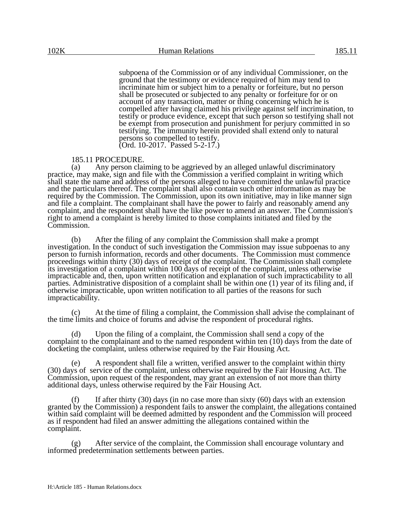subpoena of the Commission or of any individual Commissioner, on the ground that the testimony or evidence required of him may tend to incriminate him or subject him to a penalty or forfeiture, but no person shall be prosecuted or subjected to any penalty or forfeiture for or on account of any transaction, matter or thing concerning which he is compelled after having claimed his privilege against self incrimination, to testify or produce evidence, except that such person so testifying shall not be exempt from prosecution and punishment for perjury committed in so testifying. The immunity herein provided shall extend only to natural persons so compelled to testify. (Ord. 10-2017. Passed 5-2-17.)

#### 185.11 PROCEDURE.

(a) Any person claiming to be aggrieved by an alleged unlawful discriminatory practice, may make, sign and file with the Commission a verified complaint in writing which shall state the name and address of the persons alleged to have committed the unlawful practice and the particulars thereof. The complaint shall also contain such other information as may be required by the Commission. The Commission, upon its own initiative, may in like manner sign and file a complaint. The complainant shall have the power to fairly and reasonably amend any complaint, and the respondent shall have the like power to amend an answer. The Commission's right to amend a complaint is hereby limited to those complaints initiated and filed by the Commission.

(b) After the filing of any complaint the Commission shall make a prompt investigation. In the conduct of such investigation the Commission may issue subpoenas to any person to furnish information, records and other documents. The Commission must commence proceedings within thirty (30) days of receipt of the complaint. The Commission shall complete its investigation of a complaint within 100 days of receipt of the complaint, unless otherwise impracticable and, then, upon written notification and explanation of such impracticability to all parties. Administrative disposition of a complaint shall be within one (1) year of its filing and, if otherwise impracticable, upon written notification to all parties of the reasons for such impracticability.

(c) At the time of filing a complaint, the Commission shall advise the complainant of the time limits and choice of forums and advise the respondent of procedural rights.

(d) Upon the filing of a complaint, the Commission shall send a copy of the complaint to the complainant and to the named respondent within ten (10) days from the date of docketing the complaint, unless otherwise required by the Fair Housing Act.

(e) A respondent shall file a written, verified answer to the complaint within thirty (30) days of service of the complaint, unless otherwise required by the Fair Housing Act. The Commission, upon request of the respondent, may grant an extension of not more than thirty additional days, unless otherwise required by the Fair Housing Act.

(f) If after thirty (30) days (in no case more than sixty  $(60)$  days with an extension granted by the Commission) a respondent fails to answer the complaint, the allegations contained within said complaint will be deemed admitted by respondent and the Commission will proceed as if respondent had filed an answer admitting the allegations contained within the complaint.

(g) After service of the complaint, the Commission shall encourage voluntary and informed predetermination settlements between parties.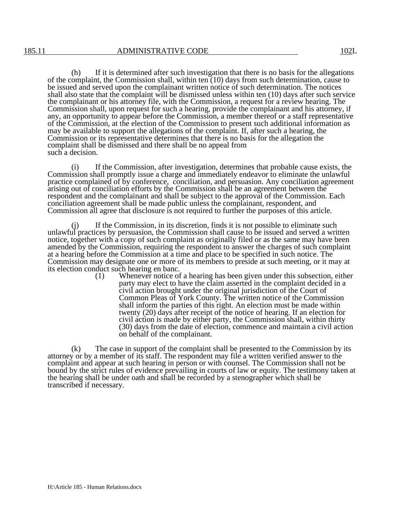(h) If it is determined after such investigation that there is no basis for the allegations of the complaint, the Commission shall, within ten (10) days from such determination, cause to be issued and served upon the complainant written notice of such determination. The notices shall also state that the complaint will be dismissed unless within ten (10) days after such service the complainant or his attorney file, with the Commission, a request for a review hearing. The Commission shall, upon request for such a hearing, provide the complainant and his attorney, if any, an opportunity to appear before the Commission, a member thereof or a staff representative of the Commission, at the election of the Commission to present such additional information as may be available to support the allegations of the complaint. If, after such a hearing, the Commission or its representative determines that there is no basis for the allegation the complaint shall be dismissed and there shall be no appeal from such a decision.

(i) If the Commission, after investigation, determines that probable cause exists, the Commission shall promptly issue a charge and immediately endeavor to eliminate the unlawful practice complained of by conference, conciliation, and persuasion. Any conciliation agreement arising out of conciliation efforts by the Commission shall be an agreement between the respondent and the complainant and shall be subject to the approval of the Commission. Each conciliation agreement shall be made public unless the complainant, respondent, and Commission all agree that disclosure is not required to further the purposes of this article.

If the Commission, in its discretion, finds it is not possible to eliminate such unlawful practices by persuasion, the Commission shall cause to be issued and served a written notice, together with a copy of such complaint as originally filed or as the same may have been amended by the Commission, requiring the respondent to answer the charges of such complaint at a hearing before the Commission at a time and place to be specified in such notice. The Commission may designate one or more of its members to preside at such meeting, or it may at its election conduct such hearing en banc.<br>(1) Whenever notice of

Whenever notice of a hearing has been given under this subsection, either party may elect to have the claim asserted in the complaint decided in a civil action brought under the original jurisdiction of the Court of Common Pleas of York County. The written notice of the Commission shall inform the parties of this right. An election must be made within twenty (20) days after receipt of the notice of hearing. If an election for civil action is made by either party, the Commission shall, within thirty (30) days from the date of election, commence and maintain a civil action on behalf of the complainant.

(k) The case in support of the complaint shall be presented to the Commission by its attorney or by a member of its staff. The respondent may file a written verified answer to the complaint and appear at such hearing in person or with counsel. The Commission shall not be bound by the strict rules of evidence prevailing in courts of law or equity. The testimony taken at the hearing shall be under oath and shall be recorded by a stenographer which shall be transcribed if necessary.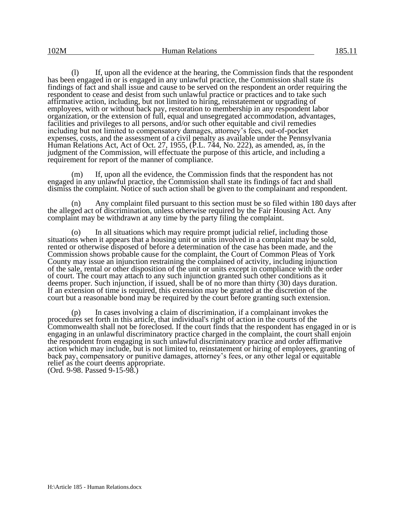(l) If, upon all the evidence at the hearing, the Commission finds that the respondent has been engaged in or is engaged in any unlawful practice, the Commission shall state its findings of fact and shall issue and cause to be served on the respondent an order requiring the respondent to cease and desist from such unlawful practice or practices and to take such affirmative action, including, but not limited to hiring, reinstatement or upgrading of employees, with or without back pay, restoration to membership in any respondent labor organization, or the extension of full, equal and unsegregated accommodation, advantages, facilities and privileges to all persons, and/or such other equitable and civil remedies including but not limited to compensatory damages, attorney's fees, out-of-pocket expenses, costs, and the assessment of a civil penalty as available under the Pennsylvania Human Relations Act, Act of Oct. 27, 1955,  $(P.L. 744, No. 222)$ , as amended, as, in the judgment of the Commission, will effectuate the purpose of this article, and including a requirement for report of the manner of compliance.

(m) If, upon all the evidence, the Commission finds that the respondent has not engaged in any unlawful practice, the Commission shall state its findings of fact and shall dismiss the complaint. Notice of such action shall be given to the complainant and respondent.

(n) Any complaint filed pursuant to this section must be so filed within 180 days after the alleged act of discrimination, unless otherwise required by the Fair Housing Act. Any complaint may be withdrawn at any time by the party filing the complaint.

(o) In all situations which may require prompt judicial relief, including those situations when it appears that a housing unit or units involved in a complaint may be sold, rented or otherwise disposed of before a determination of the case has been made, and the Commission shows probable cause for the complaint, the Court of Common Pleas of York County may issue an injunction restraining the complained of activity, including injunction of the sale, rental or other disposition of the unit or units except in compliance with the order of court. The court may attach to any such injunction granted such other conditions as it deems proper. Such injunction, if issued, shall be of no more than thirty (30) days duration. If an extension of time is required, this extension may be granted at the discretion of the court but a reasonable bond may be required by the court before granting such extension.

(p) In cases involving a claim of discrimination, if a complainant invokes the procedures set forth in this article, that individual's right of action in the courts of the Commonwealth shall not be foreclosed. If the court finds that the respondent has engaged in or is engaging in an unlawful discriminatory practice charged in the complaint, the court shall enjoin the respondent from engaging in such unlawful discriminatory practice and order affirmative action which may include, but is not limited to, reinstatement or hiring of employees, granting of back pay, compensatory or punitive damages, attorney's fees, or any other legal or equitable relief as the court deems appropriate.

(Ord. 9-98. Passed 9-15-98.)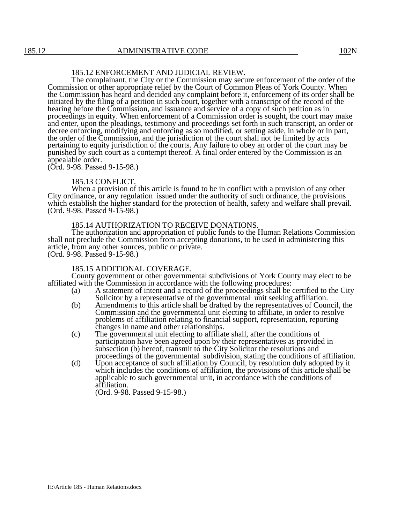# 185.12 ENFORCEMENT AND JUDICIAL REVIEW.

The complainant, the City or the Commission may secure enforcement of the order of the Commission or other appropriate relief by the Court of Common Pleas of York County. When the Commission has heard and decided any complaint before it, enforcement of its order shall be initiated by the filing of a petition in such court, together with a transcript of the record of the hearing before the Commission, and issuance and service of a copy of such petition as in proceedings in equity. When enforcement of a Commission order is sought, the court may make and enter, upon the pleadings, testimony and proceedings set forth in such transcript, an order or decree enforcing, modifying and enforcing as so modified, or setting aside, in whole or in part, the order of the Commission, and the jurisdiction of the court shall not be limited by acts pertaining to equity jurisdiction of the courts. Any failure to obey an order of the court may be punished by such court as a contempt thereof. A final order entered by the Commission is an appealable order.

(Ord. 9-98. Passed 9-15-98.)

#### 185.13 CONFLICT.

When a provision of this article is found to be in conflict with a provision of any other City ordinance, or any regulation issued under the authority of such ordinance, the provisions which establish the higher standard for the protection of health, safety and welfare shall prevail. (Ord. 9-98. Passed 9-15-98.)

#### 185.14 AUTHORIZATION TO RECEIVE DONATIONS.

The authorization and appropriation of public funds to the Human Relations Commission shall not preclude the Commission from accepting donations, to be used in administering this article, from any other sources, public or private. (Ord. 9-98. Passed 9-15-98.)

#### 185.15 ADDITIONAL COVERAGE.

County government or other governmental subdivisions of York County may elect to be affiliated with the Commission in accordance with the following procedures:

- (a) A statement of intent and a record of the proceedings shall be certified to the City Solicitor by a representative of the governmental unit seeking affiliation.
- (b) Amendments to this article shall be drafted by the representatives of Council, the Commission and the governmental unit electing to affiliate, in order to resolve problems of affiliation relating to financial support, representation, reporting changes in name and other relationships.
- (c) The governmental unit electing to affiliate shall, after the conditions of participation have been agreed upon by their representatives as provided in subsection (b) hereof, transmit to the City Solicitor the resolutions and proceedings of the governmental subdivision, stating the conditions of affiliation.
- (d) Upon acceptance of such affiliation by Council, by resolution duly adopted by it which includes the conditions of affiliation, the provisions of this article shall be applicable to such governmental unit, in accordance with the conditions of affiliation.

(Ord. 9-98. Passed 9-15-98.)